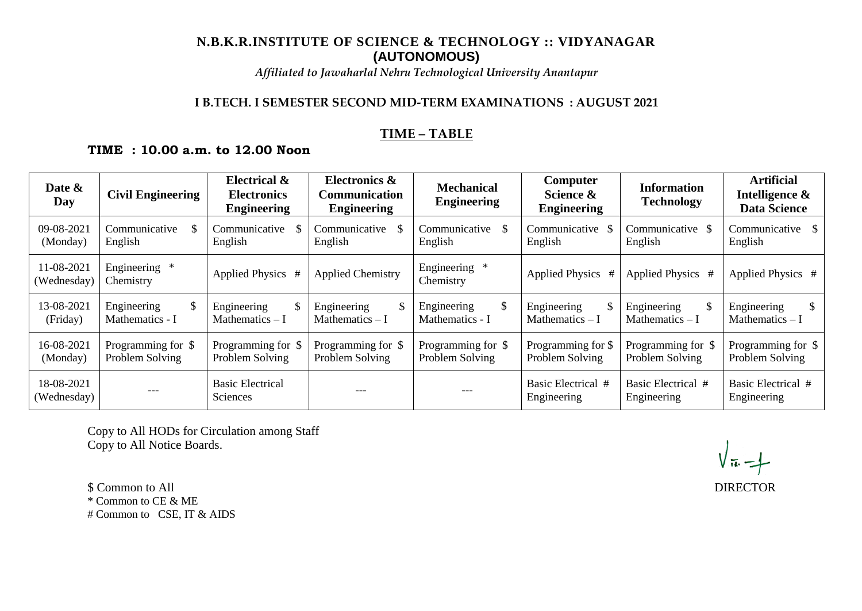# **N.B.K.R.INSTITUTE OF SCIENCE & TECHNOLOGY :: VIDYANAGAR (AUTONOMOUS)**

*Affiliated to Jawaharlal Nehru Technological University Anantapur*

## **I B.TECH. I SEMESTER SECOND MID-TERM EXAMINATIONS : AUGUST 2021**

### **TIME – TABLE**

# **TIME : 10.00 a.m. to 12.00 Noon**

| Date &<br>Day             | <b>Civil Engineering</b>              | <b>Electrical &amp;</b><br><b>Electronics</b><br><b>Engineering</b> | Electronics &<br><b>Communication</b><br><b>Engineering</b> | <b>Mechanical</b><br><b>Engineering</b> | Computer<br>Science &<br><b>Engineering</b> | <b>Information</b><br><b>Technology</b> | <b>Artificial</b><br>Intelligence &<br><b>Data Science</b> |
|---------------------------|---------------------------------------|---------------------------------------------------------------------|-------------------------------------------------------------|-----------------------------------------|---------------------------------------------|-----------------------------------------|------------------------------------------------------------|
| 09-08-2021<br>(Monday)    | Communicative<br>English              | Communicative<br>English                                            | Communicative<br>English                                    | Communicative<br>-S<br>English          | Communicative \$<br>English                 | Communicative \$<br>English             | Communicative \$<br>English                                |
| 11-08-2021<br>(Wednesday) | Engineering *<br>Chemistry            | Applied Physics #                                                   | <b>Applied Chemistry</b>                                    | Engineering *<br>Chemistry              | Applied Physics #                           | Applied Physics #                       | Applied Physics #                                          |
| 13-08-2021<br>(Friday)    | Engineering<br>\$<br>Mathematics - I  | Engineering<br>\$<br>Mathematics $-I$                               | Engineering<br>Mathematics $- I$                            | Engineering<br>\$<br>Mathematics - I    | Engineering<br>\$<br>Mathematics - I        | Engineering<br>Mathematics $-I$         | Engineering<br>Mathematics $-I$                            |
| 16-08-2021<br>(Monday)    | Programming for \$<br>Problem Solving | Programming for \$<br>Problem Solving                               | Programming for \$<br>Problem Solving                       | Programming for \$<br>Problem Solving   | Programming for \$<br>Problem Solving       | Programming for \$<br>Problem Solving   | Programming for \$<br>Problem Solving                      |
| 18-08-2021<br>(Wednesday) | ---                                   | <b>Basic Electrical</b><br><b>Sciences</b>                          | ---                                                         | ---                                     | Basic Electrical #<br>Engineering           | Basic Electrical #<br>Engineering       | Basic Electrical #<br>Engineering                          |

Copy to All HODs for Circulation among Staff Copy to All Notice Boards.

\$ Common to All DIRECTOR \* Common to CE & ME # Common to CSE, IT & AIDS

 $\sqrt{\pi}$  -